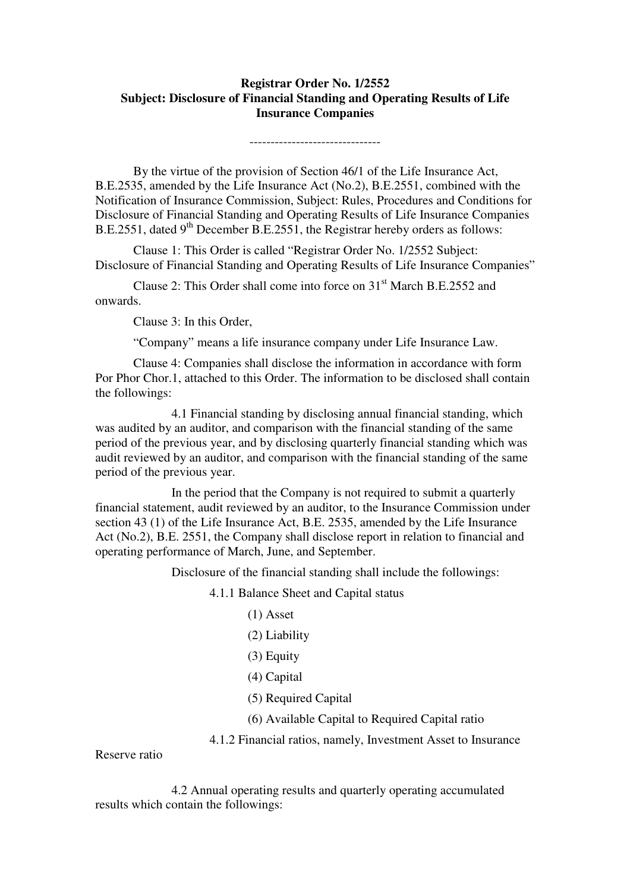## **Registrar Order No. 1/2552 Subject: Disclosure of Financial Standing and Operating Results of Life Insurance Companies**

-------------------------------

 By the virtue of the provision of Section 46/1 of the Life Insurance Act, B.E.2535, amended by the Life Insurance Act (No.2), B.E.2551, combined with the Notification of Insurance Commission, Subject: Rules, Procedures and Conditions for Disclosure of Financial Standing and Operating Results of Life Insurance Companies B.E.2551, dated  $9<sup>th</sup>$  December B.E.2551, the Registrar hereby orders as follows:

 Clause 1: This Order is called "Registrar Order No. 1/2552 Subject: Disclosure of Financial Standing and Operating Results of Life Insurance Companies"

Clause 2: This Order shall come into force on 31<sup>st</sup> March B.E.2552 and onwards.

Clause 3: In this Order,

"Company" means a life insurance company under Life Insurance Law.

 Clause 4: Companies shall disclose the information in accordance with form Por Phor Chor.1, attached to this Order. The information to be disclosed shall contain the followings:

 4.1 Financial standing by disclosing annual financial standing, which was audited by an auditor, and comparison with the financial standing of the same period of the previous year, and by disclosing quarterly financial standing which was audit reviewed by an auditor, and comparison with the financial standing of the same period of the previous year.

 In the period that the Company is not required to submit a quarterly financial statement, audit reviewed by an auditor, to the Insurance Commission under section 43 (1) of the Life Insurance Act, B.E. 2535, amended by the Life Insurance Act (No.2), B.E. 2551, the Company shall disclose report in relation to financial and operating performance of March, June, and September.

Disclosure of the financial standing shall include the followings:

4.1.1 Balance Sheet and Capital status

- (1) Asset
- (2) Liability
- (3) Equity
- (4) Capital
- (5) Required Capital
- (6) Available Capital to Required Capital ratio
- 4.1.2 Financial ratios, namely, Investment Asset to Insurance

Reserve ratio

 4.2 Annual operating results and quarterly operating accumulated results which contain the followings: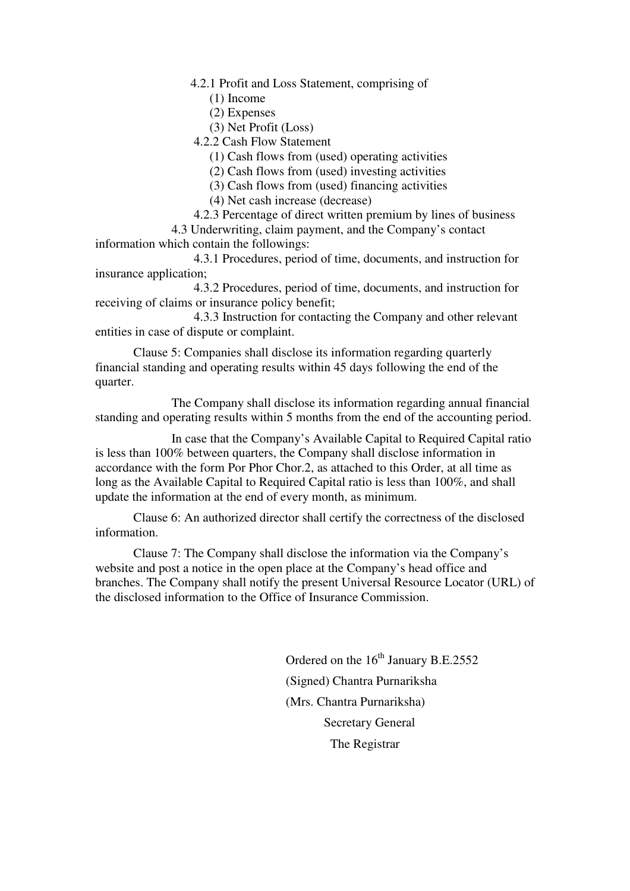4.2.1 Profit and Loss Statement, comprising of

(1) Income

(2) Expenses

(3) Net Profit (Loss)

4.2.2 Cash Flow Statement

(1) Cash flows from (used) operating activities

(2) Cash flows from (used) investing activities

(3) Cash flows from (used) financing activities

(4) Net cash increase (decrease)

4.2.3 Percentage of direct written premium by lines of business

 4.3 Underwriting, claim payment, and the Company's contact information which contain the followings:

 4.3.1 Procedures, period of time, documents, and instruction for insurance application;

 4.3.2 Procedures, period of time, documents, and instruction for receiving of claims or insurance policy benefit;

 4.3.3 Instruction for contacting the Company and other relevant entities in case of dispute or complaint.

 Clause 5: Companies shall disclose its information regarding quarterly financial standing and operating results within 45 days following the end of the quarter.

 The Company shall disclose its information regarding annual financial standing and operating results within 5 months from the end of the accounting period.

 In case that the Company's Available Capital to Required Capital ratio is less than 100% between quarters, the Company shall disclose information in accordance with the form Por Phor Chor.2, as attached to this Order, at all time as long as the Available Capital to Required Capital ratio is less than 100%, and shall update the information at the end of every month, as minimum.

 Clause 6: An authorized director shall certify the correctness of the disclosed information.

 Clause 7: The Company shall disclose the information via the Company's website and post a notice in the open place at the Company's head office and branches. The Company shall notify the present Universal Resource Locator (URL) of the disclosed information to the Office of Insurance Commission.

> Ordered on the  $16^{th}$  January B.E.2552 (Signed) Chantra Purnariksha (Mrs. Chantra Purnariksha) Secretary General The Registrar